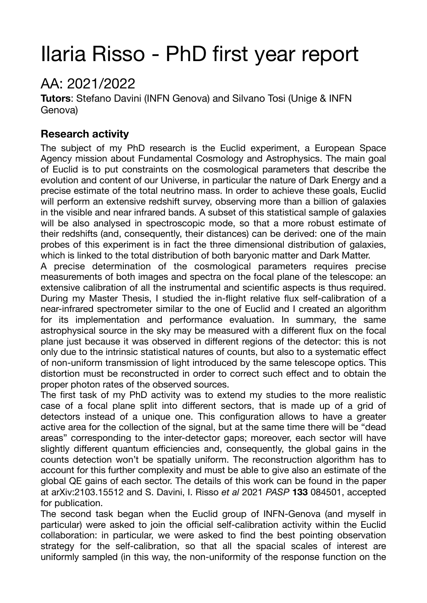# Ilaria Risso - PhD first year report

# AA: 2021/2022

**Tutors**: Stefano Davini (INFN Genova) and Silvano Tosi (Unige & INFN Genova)

# **Research activity**

The subject of my PhD research is the Euclid experiment, a European Space Agency mission about Fundamental Cosmology and Astrophysics. The main goal of Euclid is to put constraints on the cosmological parameters that describe the evolution and content of our Universe, in particular the nature of Dark Energy and a precise estimate of the total neutrino mass. In order to achieve these goals, Euclid will perform an extensive redshift survey, observing more than a billion of galaxies in the visible and near infrared bands. A subset of this statistical sample of galaxies will be also analysed in spectroscopic mode, so that a more robust estimate of their redshifts (and, consequently, their distances) can be derived: one of the main probes of this experiment is in fact the three dimensional distribution of galaxies, which is linked to the total distribution of both baryonic matter and Dark Matter.

A precise determination of the cosmological parameters requires precise measurements of both images and spectra on the focal plane of the telescope: an extensive calibration of all the instrumental and scientific aspects is thus required. During my Master Thesis, I studied the in-flight relative flux self-calibration of a near-infrared spectrometer similar to the one of Euclid and I created an algorithm for its implementation and performance evaluation. In summary, the same astrophysical source in the sky may be measured with a different flux on the focal plane just because it was observed in different regions of the detector: this is not only due to the intrinsic statistical natures of counts, but also to a systematic effect of non-uniform transmission of light introduced by the same telescope optics. This distortion must be reconstructed in order to correct such effect and to obtain the proper photon rates of the observed sources.

The first task of my PhD activity was to extend my studies to the more realistic case of a focal plane split into different sectors, that is made up of a grid of detectors instead of a unique one. This configuration allows to have a greater active area for the collection of the signal, but at the same time there will be "dead areas" corresponding to the inter-detector gaps; moreover, each sector will have slightly different quantum efficiencies and, consequently, the global gains in the counts detection won't be spatially uniform. The reconstruction algorithm has to account for this further complexity and must be able to give also an estimate of the global QE gains of each sector. The details of this work can be found in the paper at arXiv:2103.15512 and S. Davini, I. Risso *et al* 2021 *PASP* **133** 084501, accepted for publication.

The second task began when the Euclid group of INFN-Genova (and myself in particular) were asked to join the official self-calibration activity within the Euclid collaboration: in particular, we were asked to find the best pointing observation strategy for the self-calibration, so that all the spacial scales of interest are uniformly sampled (in this way, the non-uniformity of the response function on the